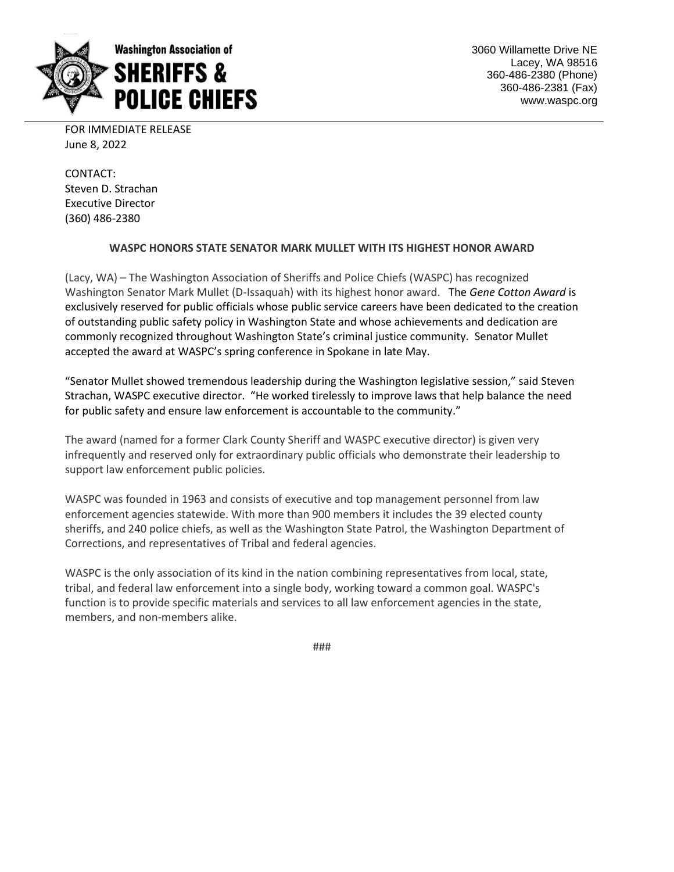

3060 Willamette Drive NE Lacey, WA 98516 360-486-2380 (Phone) 360-486-2381 (Fax) www.waspc.org

FOR IMMEDIATE RELEASE June 8, 2022

CONTACT: Steven D. Strachan Executive Director (360) 486-2380

## **WASPC HONORS STATE SENATOR MARK MULLET WITH ITS HIGHEST HONOR AWARD**

(Lacy, WA) – The Washington Association of Sheriffs and Police Chiefs (WASPC) has recognized Washington Senator Mark Mullet (D-Issaquah) with its highest honor award. The *Gene Cotton Award* is exclusively reserved for public officials whose public service careers have been dedicated to the creation of outstanding public safety policy in Washington State and whose achievements and dedication are commonly recognized throughout Washington State's criminal justice community. Senator Mullet accepted the award at WASPC's spring conference in Spokane in late May.

"Senator Mullet showed tremendous leadership during the Washington legislative session," said Steven Strachan, WASPC executive director. "He worked tirelessly to improve laws that help balance the need for public safety and ensure law enforcement is accountable to the community."

The award (named for a former Clark County Sheriff and WASPC executive director) is given very infrequently and reserved only for extraordinary public officials who demonstrate their leadership to support law enforcement public policies.

WASPC was founded in 1963 and consists of executive and top management personnel from law enforcement agencies statewide. With more than 900 members it includes the 39 elected county sheriffs, and 240 police chiefs, as well as the Washington State Patrol, the Washington Department of Corrections, and representatives of Tribal and federal agencies.

WASPC is the only association of its kind in the nation combining representatives from local, state, tribal, and federal law enforcement into a single body, working toward a common goal. WASPC's function is to provide specific materials and services to all law enforcement agencies in the state, members, and non-members alike.

###